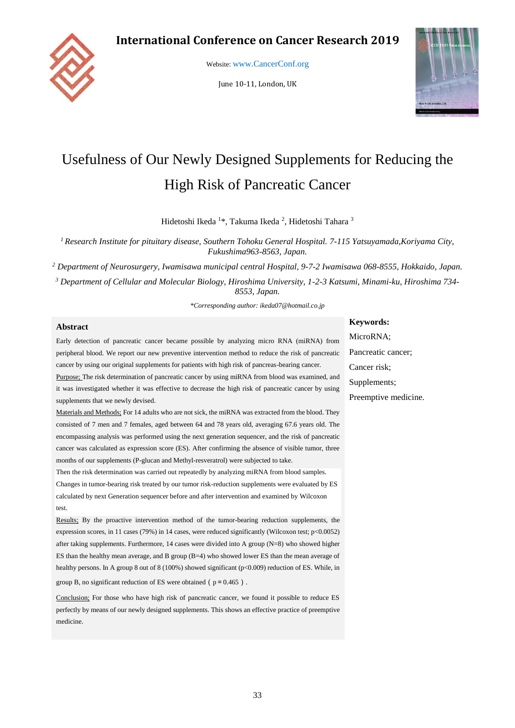# **International Conference on Cancer Research 2019**



Website: [www.CancerConf.org](file:///C:/Users/ikeda/AppData/Local/Packages/Microsoft.MicrosoftEdge_8wekyb3d8bbwe/TempState/Downloads/www.CancerConf.org)

June 10-11, London, UK



# Usefulness of Our Newly Designed Supplements for Reducing the High Risk of Pancreatic Cancer

Hidetoshi Ikeda <sup>1</sup>\*, Takuma Ikeda <sup>2</sup>, Hidetoshi Tahara <sup>3</sup>

*<sup>1</sup>Research Institute for pituitary disease, Southern Tohoku General Hospital. 7-115 Yatsuyamada,Koriyama City, Fukushima963-8563, Japan.*

*<sup>2</sup> Department of Neurosurgery, Iwamisawa municipal central Hospital, 9-7-2 Iwamisawa 068-8555, Hokkaido, Japan.*

*<sup>3</sup> Department of Cellular and Molecular Biology, Hiroshima University, 1-2-3 Katsumi, Minami-ku, Hiroshima 734- 8553, Japan.*

*\*Corresponding author: [ikeda07@hotmail.co.jp](mailto:ikeda07@hotmail.co.jp)*

#### **Abstract**

Early detection of pancreatic cancer became possible by analyzing micro RNA (miRNA) from peripheral blood. We report our new preventive intervention method to reduce the risk of pancreatic cancer by using our original supplements for patients with high risk of pancreas-bearing cancer.

Purpose; The risk determination of pancreatic cancer by using miRNA from blood was examined, and it was investigated whether it was effective to decrease the high risk of pancreatic cancer by using supplements that we newly devised.

Materials and Methods; For 14 adults who are not sick, the miRNA was extracted from the blood. They consisted of 7 men and 7 females, aged between 64 and 78 years old, averaging 67.6 years old. The encompassing analysis was performed using the next generation sequencer, and the risk of pancreatic cancer was calculated as expression score (ES). After confirming the absence of visible tumor, three months of our supplements (P-glucan and Methyl-resveratrol) were subjected to take.

Then the risk determination was carried out repeatedly by analyzing miRNA from blood samples. Changes in tumor-bearing risk treated by our tumor risk-reduction supplements were evaluated by ES calculated by next Generation sequencer before and after intervention and examined by Wilcoxon test.

Results: By the proactive intervention method of the tumor-bearing reduction supplements, the expression scores, in 11 cases (79%) in 14 cases, were reduced significantly (Wilcoxon test; p<0.0052) after taking supplements. Furthermore, 14 cases were divided into A group (N=8) who showed higher ES than the healthy mean average, and B group (B=4) who showed lower ES than the mean average of healthy persons. In A group 8 out of 8 (100%) showed significant (p<0.009) reduction of ES. While, in

group B, no significant reduction of ES were obtained ( $p = 0.465$ ).

Conclusion; For those who have high risk of pancreatic cancer, we found it possible to reduce ES perfectly by means of our newly designed supplements. This shows an effective practice of preemptive medicine.

**Keywords:** 

MicroRNA; Pancreatic cancer; Cancer risk; Supplements; Preemptive medicine.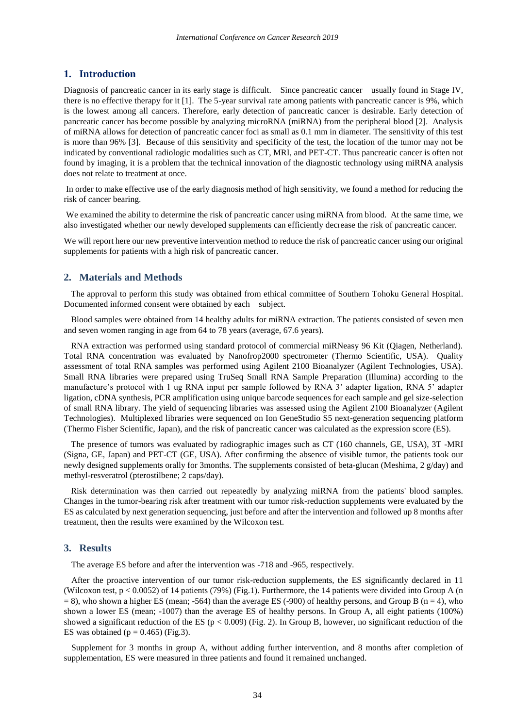# **1. Introduction**

Diagnosis of pancreatic cancer in its early stage is difficult. Since pancreatic cancer usually found in Stage IV, there is no effective therapy for it [1]. The 5-year survival rate among patients with pancreatic cancer is 9%, which is the lowest among all cancers. Therefore, early detection of pancreatic cancer is desirable. Early detection of pancreatic cancer has become possible by analyzing microRNA (miRNA) from the peripheral blood [2]. Analysis of miRNA allows for detection of pancreatic cancer foci as small as 0.1 mm in diameter. The sensitivity of this test is more than 96% [3]. Because of this sensitivity and specificity of the test, the location of the tumor may not be indicated by conventional radiologic modalities such as CT, MRI, and PET-CT. Thus pancreatic cancer is often not found by imaging, it is a problem that the technical innovation of the diagnostic technology using miRNA analysis does not relate to treatment at once.

In order to make effective use of the early diagnosis method of high sensitivity, we found a method for reducing the risk of cancer bearing.

We examined the ability to determine the risk of pancreatic cancer using miRNA from blood. At the same time, we also investigated whether our newly developed supplements can efficiently decrease the risk of pancreatic cancer.

We will report here our new preventive intervention method to reduce the risk of pancreatic cancer using our original supplements for patients with a high risk of pancreatic cancer.

#### **2. Materials and Methods**

The approval to perform this study was obtained from ethical committee of Southern Tohoku General Hospital. Documented informed consent were obtained by each subject.

Blood samples were obtained from 14 healthy adults for miRNA extraction. The patients consisted of seven men and seven women ranging in age from 64 to 78 years (average, 67.6 years).

RNA extraction was performed using standard protocol of commercial miRNeasy 96 Kit (Qiagen, Netherland). Total RNA concentration was evaluated by Nanofrop2000 spectrometer (Thermo Scientific, USA). Quality assessment of total RNA samples was performed using Agilent 2100 Bioanalyzer (Agilent Technologies, USA). Small RNA libraries were prepared using TruSeq Small RNA Sample Preparation (Illumina) according to the manufacture's protocol with 1 ug RNA input per sample followed by RNA 3' adapter ligation, RNA 5' adapter ligation, cDNA synthesis, PCR amplification using unique barcode sequences for each sample and gel size-selection of small RNA library. The yield of sequencing libraries was assessed using the Agilent 2100 Bioanalyzer (Agilent Technologies). Multiplexed libraries were sequenced on Ion GeneStudio S5 next-generation sequencing platform (Thermo Fisher Scientific, Japan), and the risk of pancreatic cancer was calculated as the expression score (ES).

The presence of tumors was evaluated by radiographic images such as CT (160 channels, GE, USA), 3T -MRI (Signa, GE, Japan) and PET-CT (GE, USA). After confirming the absence of visible tumor, the patients took our newly designed supplements orally for 3months. The supplements consisted of beta-glucan (Meshima, 2 g/day) and methyl-resveratrol (pterostilbene; 2 caps/day).

Risk determination was then carried out repeatedly by analyzing miRNA from the patients' blood samples. Changes in the tumor-bearing risk after treatment with our tumor risk-reduction supplements were evaluated by the ES as calculated by next generation sequencing, just before and after the intervention and followed up 8 months after treatment, then the results were examined by the Wilcoxon test.

## **3. Results**

The average ES before and after the intervention was -718 and -965, respectively.

After the proactive intervention of our tumor risk-reduction supplements, the ES significantly declared in 11 (Wilcoxon test, p < 0.0052) of 14 patients (79%) (Fig.1). Furthermore, the 14 patients were divided into Group A (n  $= 8$ ), who shown a higher ES (mean; -564) than the average ES (-900) of healthy persons, and Group B (n = 4), who shown a lower ES (mean; -1007) than the average ES of healthy persons. In Group A, all eight patients (100%) showed a significant reduction of the ES ( $p < 0.009$ ) (Fig. 2). In Group B, however, no significant reduction of the ES was obtained ( $p = 0.465$ ) (Fig.3).

Supplement for 3 months in group A, without adding further intervention, and 8 months after completion of supplementation, ES were measured in three patients and found it remained unchanged.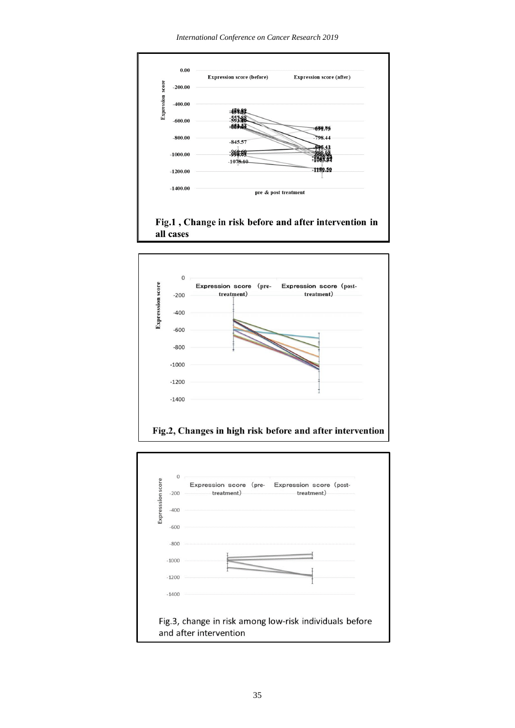*International Conference on Cancer Research 2019*





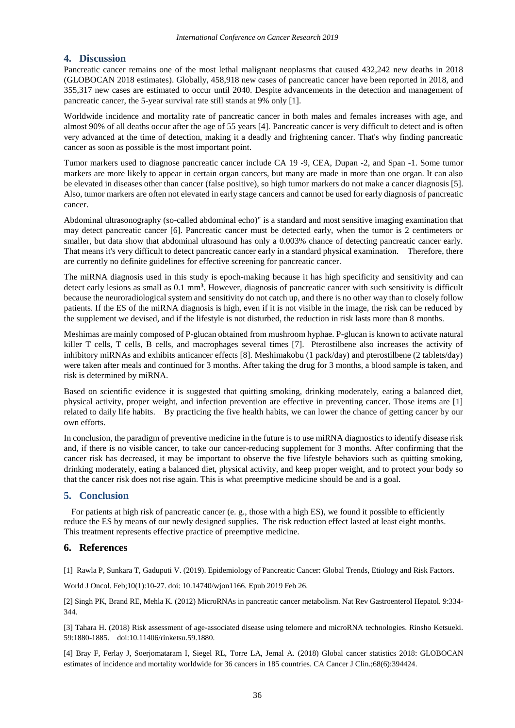# **4. Discussion**

Pancreatic cancer remains one of the most lethal malignant neoplasms that caused 432,242 new deaths in 2018 (GLOBOCAN 2018 estimates). Globally, 458,918 new cases of pancreatic cancer have been reported in 2018, and 355,317 new cases are estimated to occur until 2040. Despite advancements in the detection and management of pancreatic cancer, the 5-year survival rate still stands at 9% only [1].

Worldwide incidence and mortality rate of pancreatic cancer in both males and females increases with age, and almost 90% of all deaths occur after the age of 55 years [4]. Pancreatic cancer is very difficult to detect and is often very advanced at the time of detection, making it a deadly and frightening cancer. That's why finding pancreatic cancer as soon as possible is the most important point.

Tumor markers used to diagnose pancreatic cancer include CA 19 -9, CEA, Dupan -2, and Span -1. Some tumor markers are more likely to appear in certain organ cancers, but many are made in more than one organ. It can also be elevated in diseases other than cancer (false positive), so high tumor markers do not make a cancer diagnosis [5]. Also, tumor markers are often not elevated in early stage cancers and cannot be used for early diagnosis of pancreatic cancer.

Abdominal ultrasonography (so-called abdominal echo)" is a standard and most sensitive imaging examination that may detect pancreatic cancer [6]. Pancreatic cancer must be detected early, when the tumor is 2 centimeters or smaller, but data show that abdominal ultrasound has only a 0.003% chance of detecting pancreatic cancer early. That means it's very difficult to detect pancreatic cancer early in a standard physical examination. Therefore, there are currently no definite guidelines for effective screening for pancreatic cancer.

The miRNA diagnosis used in this study is epoch-making because it has high specificity and sensitivity and can detect early lesions as small as 0.1 mm**<sup>3</sup>** . However, diagnosis of pancreatic cancer with such sensitivity is difficult because the neuroradiological system and sensitivity do not catch up, and there is no other way than to closely follow patients. If the ES of the miRNA diagnosis is high, even if it is not visible in the image, the risk can be reduced by the supplement we devised, and if the lifestyle is not disturbed, the reduction in risk lasts more than 8 months.

Meshimas are mainly composed of P-glucan obtained from mushroom hyphae. P-glucan is known to activate natural killer T cells, T cells, B cells, and macrophages several times [7]. Pterostilbene also increases the activity of inhibitory miRNAs and exhibits anticancer effects [8]. Meshimakobu (1 pack/day) and pterostilbene (2 tablets/day) were taken after meals and continued for 3 months. After taking the drug for 3 months, a blood sample is taken, and risk is determined by miRNA.

Based on scientific evidence it is suggested that quitting smoking, drinking moderately, eating a balanced diet, physical activity, proper weight, and infection prevention are effective in preventing cancer. Those items are [1] related to daily life habits. By practicing the five health habits, we can lower the chance of getting cancer by our own efforts.

In conclusion, the paradigm of preventive medicine in the future is to use miRNA diagnostics to identify disease risk and, if there is no visible cancer, to take our cancer-reducing supplement for 3 months. After confirming that the cancer risk has decreased, it may be important to observe the five lifestyle behaviors such as quitting smoking, drinking moderately, eating a balanced diet, physical activity, and keep proper weight, and to protect your body so that the cancer risk does not rise again. This is what preemptive medicine should be and is a goal.

# **5. Conclusion**

For patients at high risk of pancreatic cancer (e. g., those with a high ES), we found it possible to efficiently reduce the ES by means of our newly designed supplies. The risk reduction effect lasted at least eight months. This treatment represents effective practice of preemptive medicine.

## **6. References**

[1] [Rawla P,](https://www.ncbi.nlm.nih.gov/pubmed/?term=Rawla%20P%5BAuthor%5D&cauthor=true&cauthor_uid=30834048) [Sunkara T,](https://www.ncbi.nlm.nih.gov/pubmed/?term=Sunkara%20T%5BAuthor%5D&cauthor=true&cauthor_uid=30834048) [Gaduputi V.](https://www.ncbi.nlm.nih.gov/pubmed/?term=Gaduputi%20V%5BAuthor%5D&cauthor=true&cauthor_uid=30834048) (2019). Epidemiology of Pancreatic Cancer: Global Trends, Etiology and Risk Factors.

[World J Oncol.](https://www.ncbi.nlm.nih.gov/pubmed/30834048) Feb;10(1):10-27. doi: 10.14740/wjon1166. Epub 2019 Feb 26.

[2] Singh PK, Brand RE, Mehla K. (2012) MicroRNAs in pancreatic cancer metabolism. Nat Rev Gastroenterol Hepatol. 9:334- 344.

[3] Tahara H. (2018) Risk assessment of age-associated disease using telomere and microRNA technologies. Rinsho Ketsueki. 59:1880-1885. doi:10.11406/rinketsu.59.1880.

[4] Bray F, Ferlay J, Soerjomataram I, Siegel RL, Torre LA, Jemal A. (2018) Global cancer statistics 2018: GLOBOCAN estimates of incidence and mortality worldwide for 36 cancers in 185 countries. CA Cancer J Clin.;68(6):394424.